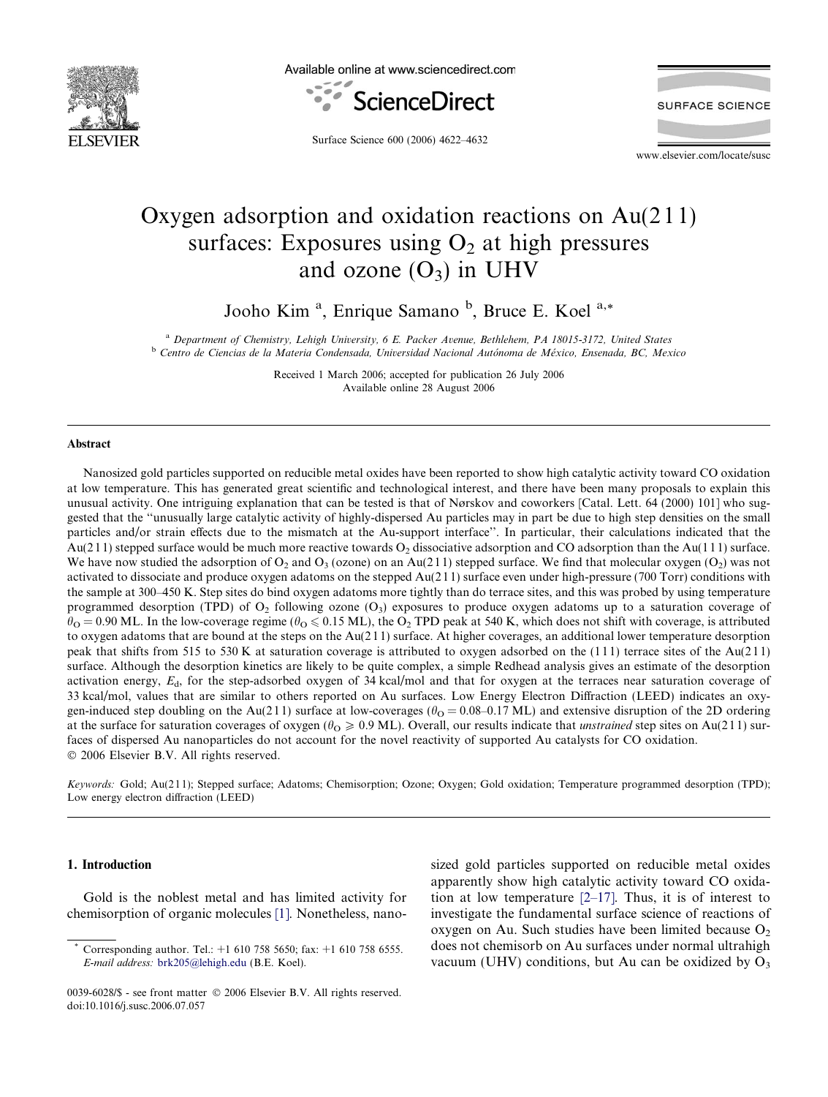

Available online at www.sciencedirect.com



**SURFACE SCIENCE** 

Surface Science 600 (2006) 4622–4632

www.elsevier.com/locate/susc

# Oxygen adsorption and oxidation reactions on Au(2 1 1) surfaces: Exposures using  $O<sub>2</sub>$  at high pressures and ozone  $(O_3)$  in UHV

Jooho Kim<sup>a</sup>, Enrique Samano<sup>b</sup>, Bruce E. Koel<sup>a,\*</sup>

<sup>a</sup> Department of Chemistry, Lehigh University, 6 E. Packer Avenue, Bethlehem, PA 18015-3172, United States <sup>b</sup> Centro de Ciencias de la Materia Condensada, Universidad Nacional Autónoma de México, Ensenada, BC, Mexico

> Received 1 March 2006; accepted for publication 26 July 2006 Available online 28 August 2006

#### **Abstract**

Nanosized gold particles supported on reducible metal oxides have been reported to show high catalytic activity toward CO oxidation at low temperature. This has generated great scientific and technological interest, and there have been many proposals to explain this unusual activity. One intriguing explanation that can be tested is that of Nørskov and coworkers [Catal. Lett. 64 (2000) 101] who suggested that the ''unusually large catalytic activity of highly-dispersed Au particles may in part be due to high step densities on the small particles and/or strain effects due to the mismatch at the Au-support interface''. In particular, their calculations indicated that the  $Au(211)$  stepped surface would be much more reactive towards  $O_2$  dissociative adsorption and CO adsorption than the Au(111) surface. We have now studied the adsorption of  $O_2$  and  $O_3$  (ozone) on an Au(211) stepped surface. We find that molecular oxygen (O<sub>2</sub>) was not activated to dissociate and produce oxygen adatoms on the stepped Au(2 1 1) surface even under high-pressure (700 Torr) conditions with the sample at 300–450 K. Step sites do bind oxygen adatoms more tightly than do terrace sites, and this was probed by using temperature programmed desorption (TPD) of  $O_2$  following ozone  $(O_3)$  exposures to produce oxygen adatoms up to a saturation coverage of  $heta = 0.90$  ML. In the low-coverage regime ( $heta \leq 0.15$  ML), the O<sub>2</sub> TPD peak at 540 K, which does not shift with coverage, is attributed to oxygen adatoms that are bound at the steps on the Au(2 1 1) surface. At higher coverages, an additional lower temperature desorption peak that shifts from 515 to 530 K at saturation coverage is attributed to oxygen adsorbed on the  $(111)$  terrace sites of the Au(211) surface. Although the desorption kinetics are likely to be quite complex, a simple Redhead analysis gives an estimate of the desorption activation energy,  $E_d$ , for the step-adsorbed oxygen of 34 kcal/mol and that for oxygen at the terraces near saturation coverage of 33 kcal/mol, values that are similar to others reported on Au surfaces. Low Energy Electron Diffraction (LEED) indicates an oxygen-induced step doubling on the Au(211) surface at low-coverages ( $\theta_{\rm O} = 0.08$ –0.17 ML) and extensive disruption of the 2D ordering at the surface for saturation coverages of oxygen ( $\theta_{\rm O} \ge 0.9$  ML). Overall, our results indicate that *unstrained* step sites on Au(211) surfaces of dispersed Au nanoparticles do not account for the novel reactivity of supported Au catalysts for CO oxidation. © 2006 Elsevier B.V. All rights reserved.

Keywords: Gold; Au(211); Stepped surface; Adatoms; Chemisorption; Ozone; Oxygen; Gold oxidation; Temperature programmed desorption (TPD); Low energy electron diffraction (LEED)

## 1. Introduction

Gold is the noblest metal and has limited activity for chemisorption of organic molecules [\[1\].](#page-10-0) Nonetheless, nanosized gold particles supported on reducible metal oxides apparently show high catalytic activity toward CO oxidation at low temperature  $[2-17]$ . Thus, it is of interest to investigate the fundamental surface science of reactions of oxygen on Au. Such studies have been limited because  $O_2$ does not chemisorb on Au surfaces under normal ultrahigh vacuum (UHV) conditions, but Au can be oxidized by  $O_3$ 

Corresponding author. Tel.: +1 610 758 5650; fax: +1 610 758 6555. E-mail address: [brk205@lehigh.edu](mailto:brk205@lehigh.edu) (B.E. Koel).

<sup>0039-6028/\$ -</sup> see front matter © 2006 Elsevier B.V. All rights reserved. doi:10.1016/j.susc.2006.07.057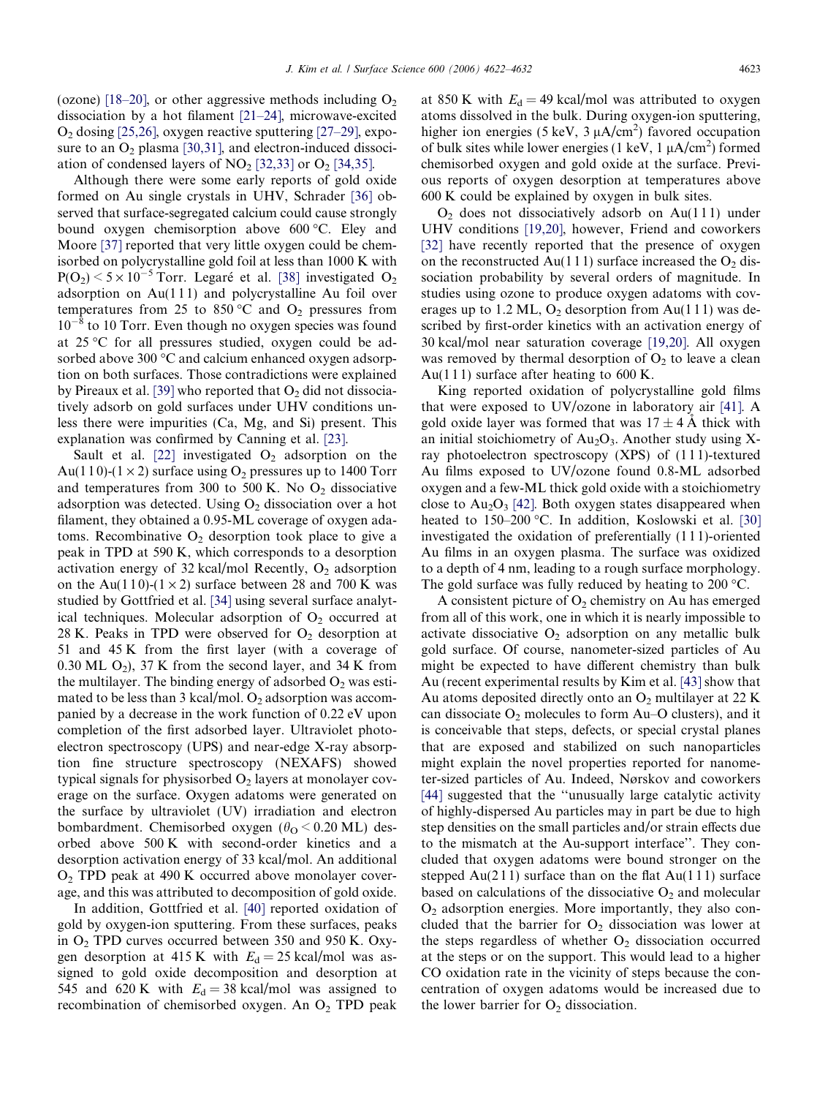(ozone) [\[18–20\]](#page-10-0), or other aggressive methods including  $O_2$ dissociation by a hot filament [\[21–24\],](#page-10-0) microwave-excited  $O<sub>2</sub>$  dosing [\[25,26\]](#page-10-0), oxygen reactive sputtering [\[27–29\],](#page-10-0) exposure to an  $O_2$  plasma [\[30,31\],](#page-10-0) and electron-induced dissociation of condensed layers of  $NO<sub>2</sub>$  [\[32,33\]](#page-10-0) or  $O<sub>2</sub>$  [\[34,35\].](#page-10-0)

Although there were some early reports of gold oxide formed on Au single crystals in UHV, Schrader [\[36\]](#page-10-0) observed that surface-segregated calcium could cause strongly bound oxygen chemisorption above 600 °C. Eley and Moore [\[37\]](#page-10-0) reported that very little oxygen could be chemisorbed on polycrystalline gold foil at less than 1000 K with  $P(O_2)$  < 5 × 10<sup>-5</sup> Torr. Legaré et al. [\[38\]](#page-10-0) investigated  $O_2$ adsorption on  $Au(111)$  and polycrystalline Au foil over temperatures from 25 to 850 °C and  $O_2$  pressures from  $10^{-8}$  to 10 Torr. Even though no oxygen species was found at  $25^{\circ}$ C for all pressures studied, oxygen could be adsorbed above 300  $\degree$ C and calcium enhanced oxygen adsorption on both surfaces. Those contradictions were explained by Pireaux et al. [\[39\]](#page-10-0) who reported that  $O_2$  did not dissociatively adsorb on gold surfaces under UHV conditions unless there were impurities (Ca, Mg, and Si) present. This explanation was confirmed by Canning et al. [\[23\]](#page-10-0).

Sault et al. [\[22\]](#page-10-0) investigated  $O_2$  adsorption on the Au(110)-(1  $\times$  2) surface using O<sub>2</sub> pressures up to 1400 Torr and temperatures from 300 to 500 K. No  $O_2$  dissociative adsorption was detected. Using  $O_2$  dissociation over a hot filament, they obtained a 0.95-ML coverage of oxygen adatoms. Recombinative  $O_2$  desorption took place to give a peak in TPD at 590 K, which corresponds to a desorption activation energy of 32 kcal/mol Recently,  $O_2$  adsorption on the Au(110)-(1  $\times$  2) surface between 28 and 700 K was studied by Gottfried et al. [\[34\]](#page-10-0) using several surface analytical techniques. Molecular adsorption of  $O<sub>2</sub>$  occurred at 28 K. Peaks in TPD were observed for  $O_2$  desorption at 51 and 45 K from the first layer (with a coverage of 0.30 ML  $O_2$ ), 37 K from the second layer, and 34 K from the multilayer. The binding energy of adsorbed  $O_2$  was estimated to be less than 3 kcal/mol.  $O_2$  adsorption was accompanied by a decrease in the work function of 0.22 eV upon completion of the first adsorbed layer. Ultraviolet photoelectron spectroscopy (UPS) and near-edge X-ray absorption fine structure spectroscopy (NEXAFS) showed typical signals for physisorbed  $O<sub>2</sub>$  layers at monolayer coverage on the surface. Oxygen adatoms were generated on the surface by ultraviolet (UV) irradiation and electron bombardment. Chemisorbed oxygen ( $\theta$ <sub>O</sub> < 0.20 ML) desorbed above 500 K with second-order kinetics and a desorption activation energy of 33 kcal/mol. An additional  $O<sub>2</sub>$  TPD peak at 490 K occurred above monolayer coverage, and this was attributed to decomposition of gold oxide.

In addition, Gottfried et al. [\[40\]](#page-10-0) reported oxidation of gold by oxygen-ion sputtering. From these surfaces, peaks in O2 TPD curves occurred between 350 and 950 K. Oxygen desorption at 415 K with  $E_d = 25$  kcal/mol was assigned to gold oxide decomposition and desorption at 545 and 620 K with  $E_d = 38$  kcal/mol was assigned to recombination of chemisorbed oxygen. An  $O<sub>2</sub>$  TPD peak at 850 K with  $E_d = 49$  kcal/mol was attributed to oxygen atoms dissolved in the bulk. During oxygen-ion sputtering, higher ion energies (5 keV, 3  $\mu$ A/cm<sup>2</sup>) favored occupation of bulk sites while lower energies (1 keV,  $1 \mu A/cm^2$ ) formed chemisorbed oxygen and gold oxide at the surface. Previous reports of oxygen desorption at temperatures above 600 K could be explained by oxygen in bulk sites.

 $O<sub>2</sub>$  does not dissociatively adsorb on Au(111) under UHV conditions [\[19,20\]](#page-10-0), however, Friend and coworkers [\[32\]](#page-10-0) have recently reported that the presence of oxygen on the reconstructed Au(111) surface increased the  $O_2$  dissociation probability by several orders of magnitude. In studies using ozone to produce oxygen adatoms with coverages up to 1.2 ML,  $O_2$  desorption from Au(111) was described by first-order kinetics with an activation energy of 30 kcal/mol near saturation coverage [\[19,20\]](#page-10-0). All oxygen was removed by thermal desorption of  $O<sub>2</sub>$  to leave a clean Au(111) surface after heating to  $600$  K.

King reported oxidation of polycrystalline gold films that were exposed to UV/ozone in laboratory air [\[41\]](#page-10-0). A gold oxide layer was formed that was  $17 \pm 4$  Å thick with an initial stoichiometry of  $Au_2O_3$ . Another study using Xray photoelectron spectroscopy (XPS) of (1 1 1)-textured Au films exposed to UV/ozone found 0.8-ML adsorbed oxygen and a few-ML thick gold oxide with a stoichiometry close to  $Au_2O_3$  [\[42\].](#page-10-0) Both oxygen states disappeared when heated to  $150-200$  °C. In addition, Koslowski et al. [\[30\]](#page-10-0) investigated the oxidation of preferentially (1 1 1)-oriented Au films in an oxygen plasma. The surface was oxidized to a depth of 4 nm, leading to a rough surface morphology. The gold surface was fully reduced by heating to 200  $\degree$ C.

A consistent picture of  $O_2$  chemistry on Au has emerged from all of this work, one in which it is nearly impossible to activate dissociative  $O_2$  adsorption on any metallic bulk gold surface. Of course, nanometer-sized particles of Au might be expected to have different chemistry than bulk Au (recent experimental results by Kim et al. [\[43\]](#page-10-0) show that Au atoms deposited directly onto an  $O_2$  multilayer at 22 K can dissociate  $O_2$  molecules to form Au–O clusters), and it is conceivable that steps, defects, or special crystal planes that are exposed and stabilized on such nanoparticles might explain the novel properties reported for nanometer-sized particles of Au. Indeed, Nørskov and coworkers [\[44\]](#page-10-0) suggested that the "unusually large catalytic activity of highly-dispersed Au particles may in part be due to high step densities on the small particles and/or strain effects due to the mismatch at the Au-support interface''. They concluded that oxygen adatoms were bound stronger on the stepped  $Au(211)$  surface than on the flat  $Au(111)$  surface based on calculations of the dissociative  $O_2$  and molecular  $O<sub>2</sub>$  adsorption energies. More importantly, they also concluded that the barrier for  $O<sub>2</sub>$  dissociation was lower at the steps regardless of whether  $O<sub>2</sub>$  dissociation occurred at the steps or on the support. This would lead to a higher CO oxidation rate in the vicinity of steps because the concentration of oxygen adatoms would be increased due to the lower barrier for  $O<sub>2</sub>$  dissociation.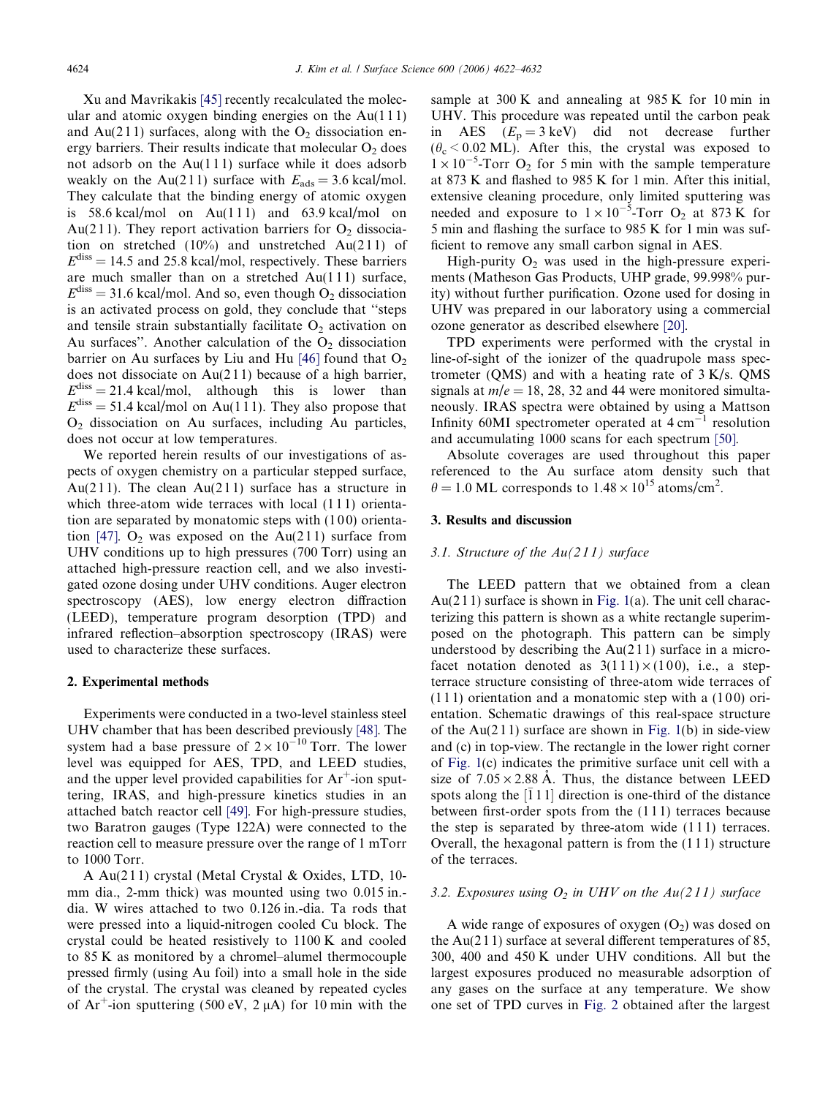Xu and Mavrikakis [\[45\]](#page-10-0) recently recalculated the molecular and atomic oxygen binding energies on the  $Au(111)$ and Au(211) surfaces, along with the  $O_2$  dissociation energy barriers. Their results indicate that molecular  $O<sub>2</sub>$  does not adsorb on the  $Au(111)$  surface while it does adsorb weakly on the Au(211) surface with  $E_{ads} = 3.6 \text{ kcal/mol}$ . They calculate that the binding energy of atomic oxygen is  $58.6$  kcal/mol on Au(111) and  $63.9$  kcal/mol on Au(211). They report activation barriers for  $O_2$  dissociation on stretched  $(10\%)$  and unstretched Au $(211)$  of  $E<sup>diss</sup> = 14.5$  and 25.8 kcal/mol, respectively. These barriers are much smaller than on a stretched  $Au(111)$  surface,  $E<sup>diss</sup> = 31.6$  kcal/mol. And so, even though O<sub>2</sub> dissociation is an activated process on gold, they conclude that ''steps and tensile strain substantially facilitate  $O_2$  activation on Au surfaces". Another calculation of the  $O<sub>2</sub>$  dissociation barrier on Au surfaces by Liu and Hu [\[46\]](#page-10-0) found that  $O_2$ does not dissociate on  $Au(211)$  because of a high barrier,  $E^{\text{diss}} = 21.4 \text{ kcal/mol}$ , although this is lower than  $E<sup>diss</sup> = 51.4$  kcal/mol on Au(111). They also propose that  $O<sub>2</sub>$  dissociation on Au surfaces, including Au particles, does not occur at low temperatures.

We reported herein results of our investigations of aspects of oxygen chemistry on a particular stepped surface, Au(211). The clean Au(211) surface has a structure in which three-atom wide terraces with local (111) orientation are separated by monatomic steps with  $(100)$  orienta-tion [\[47\].](#page-10-0)  $O_2$  was exposed on the Au(211) surface from UHV conditions up to high pressures (700 Torr) using an attached high-pressure reaction cell, and we also investigated ozone dosing under UHV conditions. Auger electron spectroscopy (AES), low energy electron diffraction (LEED), temperature program desorption (TPD) and infrared reflection–absorption spectroscopy (IRAS) were used to characterize these surfaces.

#### 2. Experimental methods

Experiments were conducted in a two-level stainless steel UHV chamber that has been described previously [\[48\].](#page-10-0) The system had a base pressure of  $2 \times 10^{-10}$  Torr. The lower level was equipped for AES, TPD, and LEED studies, and the upper level provided capabilities for  $Ar^+$ -ion sputtering, IRAS, and high-pressure kinetics studies in an attached batch reactor cell [\[49\]](#page-10-0). For high-pressure studies, two Baratron gauges (Type 122A) were connected to the reaction cell to measure pressure over the range of 1 mTorr to 1000 Torr.

A Au(2 1 1) crystal (Metal Crystal & Oxides, LTD, 10 mm dia., 2-mm thick) was mounted using two 0.015 in. dia. W wires attached to two 0.126 in.-dia. Ta rods that were pressed into a liquid-nitrogen cooled Cu block. The crystal could be heated resistively to 1100 K and cooled to 85 K as monitored by a chromel–alumel thermocouple pressed firmly (using Au foil) into a small hole in the side of the crystal. The crystal was cleaned by repeated cycles of  $Ar^+$ -ion sputtering (500 eV, 2  $\mu$ A) for 10 min with the

sample at 300 K and annealing at 985 K for 10 min in UHV. This procedure was repeated until the carbon peak in AES  $(E_p = 3 \text{ keV})$  did not decrease further  $(\theta_{\rm c}$  < 0.02 ML). After this, the crystal was exposed to  $1 \times 10^{-5}$ -Torr O<sub>2</sub> for 5 min with the sample temperature at 873 K and flashed to 985 K for 1 min. After this initial, extensive cleaning procedure, only limited sputtering was needed and exposure to  $1 \times 10^{-5}$ -Torr O<sub>2</sub> at 873 K for 5 min and flashing the surface to 985 K for 1 min was sufficient to remove any small carbon signal in AES.

High-purity  $O_2$  was used in the high-pressure experiments (Matheson Gas Products, UHP grade, 99.998% purity) without further purification. Ozone used for dosing in UHV was prepared in our laboratory using a commercial ozone generator as described elsewhere [\[20\]](#page-10-0).

TPD experiments were performed with the crystal in line-of-sight of the ionizer of the quadrupole mass spectrometer (QMS) and with a heating rate of  $3 K/s$ . QMS signals at  $m/e = 18$ , 28, 32 and 44 were monitored simultaneously. IRAS spectra were obtained by using a Mattson Infinity 60MI spectrometer operated at  $4 \text{ cm}^{-1}$  resolution and accumulating 1000 scans for each spectrum [\[50\].](#page-10-0)

Absolute coverages are used throughout this paper referenced to the Au surface atom density such that  $\theta = 1.0$  ML corresponds to  $1.48 \times 10^{15}$  atoms/cm<sup>2</sup>.

### 3. Results and discussion

## 3.1. Structure of the  $Au(211)$  surface

The LEED pattern that we obtained from a clean Au( $211$ ) surface is shown in [Fig. 1](#page-3-0)(a). The unit cell characterizing this pattern is shown as a white rectangle superimposed on the photograph. This pattern can be simply understood by describing the  $Au(211)$  surface in a microfacet notation denoted as  $3(111) \times (100)$ , i.e., a stepterrace structure consisting of three-atom wide terraces of  $(111)$  orientation and a monatomic step with a  $(100)$  orientation. Schematic drawings of this real-space structure of the  $Au(211)$  surface are shown in [Fig. 1](#page-3-0)(b) in side-view and (c) in top-view. The rectangle in the lower right corner of [Fig. 1\(](#page-3-0)c) indicates the primitive surface unit cell with a size of  $7.05 \times 2.88$  Å. Thus, the distance between LEED spots along the  $\left[\overline{1}11\right]$  direction is one-third of the distance between first-order spots from the (1 1 1) terraces because the step is separated by three-atom wide  $(1\,1\,1)$  terraces. Overall, the hexagonal pattern is from the (1 1 1) structure of the terraces.

# 3.2. Exposures using  $O_2$  in UHV on the Au(211) surface

A wide range of exposures of oxygen  $(O_2)$  was dosed on the  $Au(211)$  surface at several different temperatures of 85, 300, 400 and 450 K under UHV conditions. All but the largest exposures produced no measurable adsorption of any gases on the surface at any temperature. We show one set of TPD curves in [Fig. 2](#page-3-0) obtained after the largest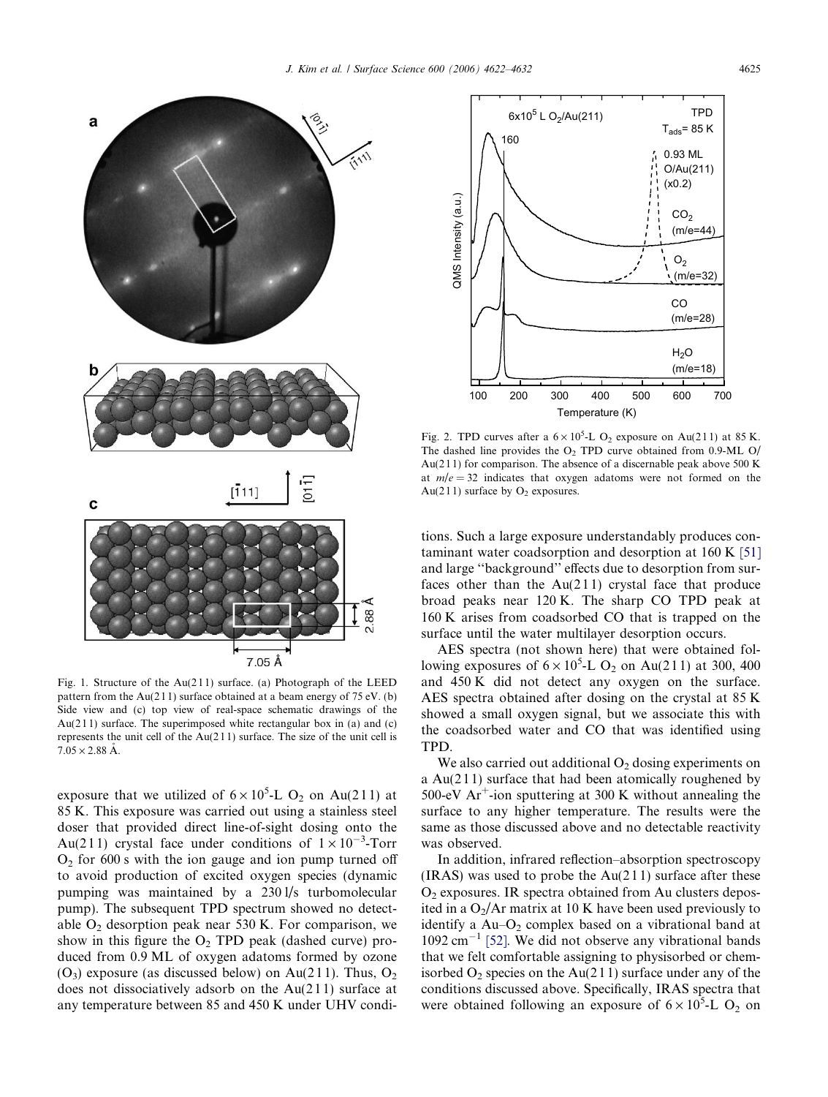<span id="page-3-0"></span>

Fig. 1. Structure of the Au(2 1 1) surface. (a) Photograph of the LEED pattern from the Au(211) surface obtained at a beam energy of 75 eV. (b) Side view and (c) top view of real-space schematic drawings of the Au(211) surface. The superimposed white rectangular box in (a) and (c) represents the unit cell of the  $Au(211)$  surface. The size of the unit cell is  $7.05 \times 2.88$  Å.

exposure that we utilized of  $6 \times 10^5$ -L O<sub>2</sub> on Au(211) at 85 K. This exposure was carried out using a stainless steel doser that provided direct line-of-sight dosing onto the Au(211) crystal face under conditions of  $1 \times 10^{-3}$ -Torr  $O<sub>2</sub>$  for 600 s with the ion gauge and ion pump turned off to avoid production of excited oxygen species (dynamic pumping was maintained by a 230 l/s turbomolecular pump). The subsequent TPD spectrum showed no detectable  $O<sub>2</sub>$  desorption peak near 530 K. For comparison, we show in this figure the  $O_2$  TPD peak (dashed curve) produced from 0.9 ML of oxygen adatoms formed by ozone  $(O_3)$  exposure (as discussed below) on Au(211). Thus,  $O_2$ does not dissociatively adsorb on the  $Au(211)$  surface at any temperature between 85 and 450 K under UHV condi-



Fig. 2. TPD curves after a  $6 \times 10^5$ -L O<sub>2</sub> exposure on Au(211) at 85 K. The dashed line provides the  $O<sub>2</sub>$  TPD curve obtained from 0.9-ML O/ Au(211) for comparison. The absence of a discernable peak above 500 K at  $m/e = 32$  indicates that oxygen adatoms were not formed on the Au(211) surface by  $O_2$  exposures.

tions. Such a large exposure understandably produces contaminant water coadsorption and desorption at 160 K [\[51\]](#page-10-0) and large ''background'' effects due to desorption from surfaces other than the  $Au(211)$  crystal face that produce broad peaks near 120 K. The sharp CO TPD peak at 160 K arises from coadsorbed CO that is trapped on the surface until the water multilayer desorption occurs.

AES spectra (not shown here) that were obtained following exposures of  $6 \times 10^5$ -L O<sub>2</sub> on Au(211) at 300, 400 and 450 K did not detect any oxygen on the surface. AES spectra obtained after dosing on the crystal at 85 K showed a small oxygen signal, but we associate this with the coadsorbed water and CO that was identified using TPD.

We also carried out additional  $O<sub>2</sub>$  dosing experiments on a Au(2 1 1) surface that had been atomically roughened by 500-eV  $Ar^+$ -ion sputtering at 300 K without annealing the surface to any higher temperature. The results were the same as those discussed above and no detectable reactivity was observed.

In addition, infrared reflection–absorption spectroscopy  $(IRAS)$  was used to probe the Au(211) surface after these  $O<sub>2</sub>$  exposures. IR spectra obtained from Au clusters deposited in a  $O_2/Ar$  matrix at 10 K have been used previously to identify a  $Au$ – $O_2$  complex based on a vibrational band at 1092 cm-<sup>1</sup> [\[52\].](#page-10-0) We did not observe any vibrational bands that we felt comfortable assigning to physisorbed or chemisorbed  $O_2$  species on the Au(211) surface under any of the conditions discussed above. Specifically, IRAS spectra that were obtained following an exposure of  $6 \times 10^5$ -L O<sub>2</sub> on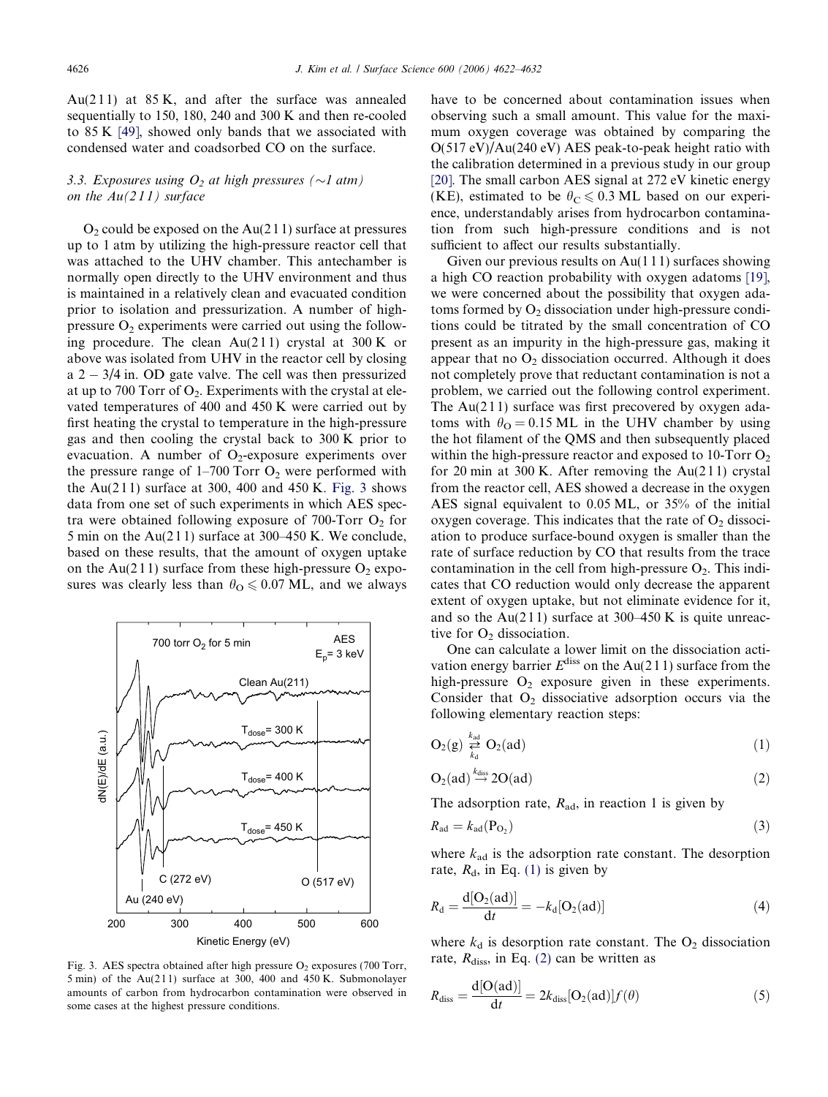<span id="page-4-0"></span>Au(211) at  $85 K$ , and after the surface was annealed sequentially to 150, 180, 240 and 300 K and then re-cooled to 85 K [\[49\],](#page-10-0) showed only bands that we associated with condensed water and coadsorbed CO on the surface.

# 3.3. Exposures using  $O_2$  at high pressures ( $\sim$ 1 atm) on the  $Au(211)$  surface

 $O<sub>2</sub>$  could be exposed on the Au(211) surface at pressures up to 1 atm by utilizing the high-pressure reactor cell that was attached to the UHV chamber. This antechamber is normally open directly to the UHV environment and thus is maintained in a relatively clean and evacuated condition prior to isolation and pressurization. A number of highpressure  $O_2$  experiments were carried out using the following procedure. The clean  $Au(211)$  crystal at 300 K or above was isolated from UHV in the reactor cell by closing a 2 - 3/4 in. OD gate valve. The cell was then pressurized at up to 700 Torr of  $O_2$ . Experiments with the crystal at elevated temperatures of 400 and 450 K were carried out by first heating the crystal to temperature in the high-pressure gas and then cooling the crystal back to 300 K prior to evacuation. A number of  $O_2$ -exposure experiments over the pressure range of  $1-700$  Torr  $O_2$  were performed with the Au(211) surface at 300, 400 and 450 K. Fig. 3 shows data from one set of such experiments in which AES spectra were obtained following exposure of 700-Torr  $O_2$  for 5 min on the Au(2 1 1) surface at 300–450 K. We conclude, based on these results, that the amount of oxygen uptake on the Au(211) surface from these high-pressure  $O_2$  exposures was clearly less than  $\theta_{\text{O}} \leq 0.07 \text{ ML}$ , and we always



Fig. 3. AES spectra obtained after high pressure  $O_2$  exposures (700 Torr, 5 min) of the Au(211) surface at 300, 400 and 450 K. Submonolayer amounts of carbon from hydrocarbon contamination were observed in some cases at the highest pressure conditions.

have to be concerned about contamination issues when observing such a small amount. This value for the maximum oxygen coverage was obtained by comparing the O(517 eV)/Au(240 eV) AES peak-to-peak height ratio with the calibration determined in a previous study in our group [\[20\]](#page-10-0). The small carbon AES signal at 272 eV kinetic energy (KE), estimated to be  $\theta_c \le 0.3$  ML based on our experience, understandably arises from hydrocarbon contamination from such high-pressure conditions and is not sufficient to affect our results substantially.

Given our previous results on  $Au(111)$  surfaces showing a high CO reaction probability with oxygen adatoms [\[19\]](#page-10-0), we were concerned about the possibility that oxygen adatoms formed by  $O<sub>2</sub>$  dissociation under high-pressure conditions could be titrated by the small concentration of CO present as an impurity in the high-pressure gas, making it appear that no  $O_2$  dissociation occurred. Although it does not completely prove that reductant contamination is not a problem, we carried out the following control experiment. The  $Au(211)$  surface was first precovered by oxygen adatoms with  $\theta_{\rm O} = 0.15$  ML in the UHV chamber by using the hot filament of the QMS and then subsequently placed within the high-pressure reactor and exposed to 10-Torr  $O_2$ for 20 min at 300 K. After removing the  $Au(211)$  crystal from the reactor cell, AES showed a decrease in the oxygen AES signal equivalent to 0.05 ML, or 35% of the initial oxygen coverage. This indicates that the rate of  $O_2$  dissociation to produce surface-bound oxygen is smaller than the rate of surface reduction by CO that results from the trace contamination in the cell from high-pressure  $O_2$ . This indicates that CO reduction would only decrease the apparent extent of oxygen uptake, but not eliminate evidence for it, and so the Au(211) surface at 300–450 K is quite unreactive for  $O_2$  dissociation.

One can calculate a lower limit on the dissociation activation energy barrier  $E^{\text{diss}}$  on the Au(211) surface from the high-pressure  $O_2$  exposure given in these experiments. Consider that  $O_2$  dissociative adsorption occurs via the following elementary reaction steps:

$$
O_2(g) \overset{k_{ad}}{\underset{k_d}{\rightleftarrows}} O_2(ad) \tag{1}
$$

$$
O_2(ad) \stackrel{k_{diss}}{\to} 2O(ad)
$$
 (2)

The adsorption rate,  $R_{\text{ad}}$ , in reaction 1 is given by

$$
R_{\rm ad} = k_{\rm ad} (\mathbf{P}_{\rm O_2}) \tag{3}
$$

where  $k_{ad}$  is the adsorption rate constant. The desorption rate,  $R_d$ , in Eq. (1) is given by

$$
R_{\rm d} = \frac{\rm d[O_2(ad)]}{\rm d}t = -k_{\rm d}[O_2(ad)] \tag{4}
$$

where  $k_d$  is desorption rate constant. The  $O_2$  dissociation rate,  $R_{\text{diss}}$ , in Eq. (2) can be written as

$$
R_{\text{diss}} = \frac{\text{d}[O(ad)]}{\text{d}t} = 2k_{\text{diss}}[O_2(ad)]f(\theta)
$$
\n(5)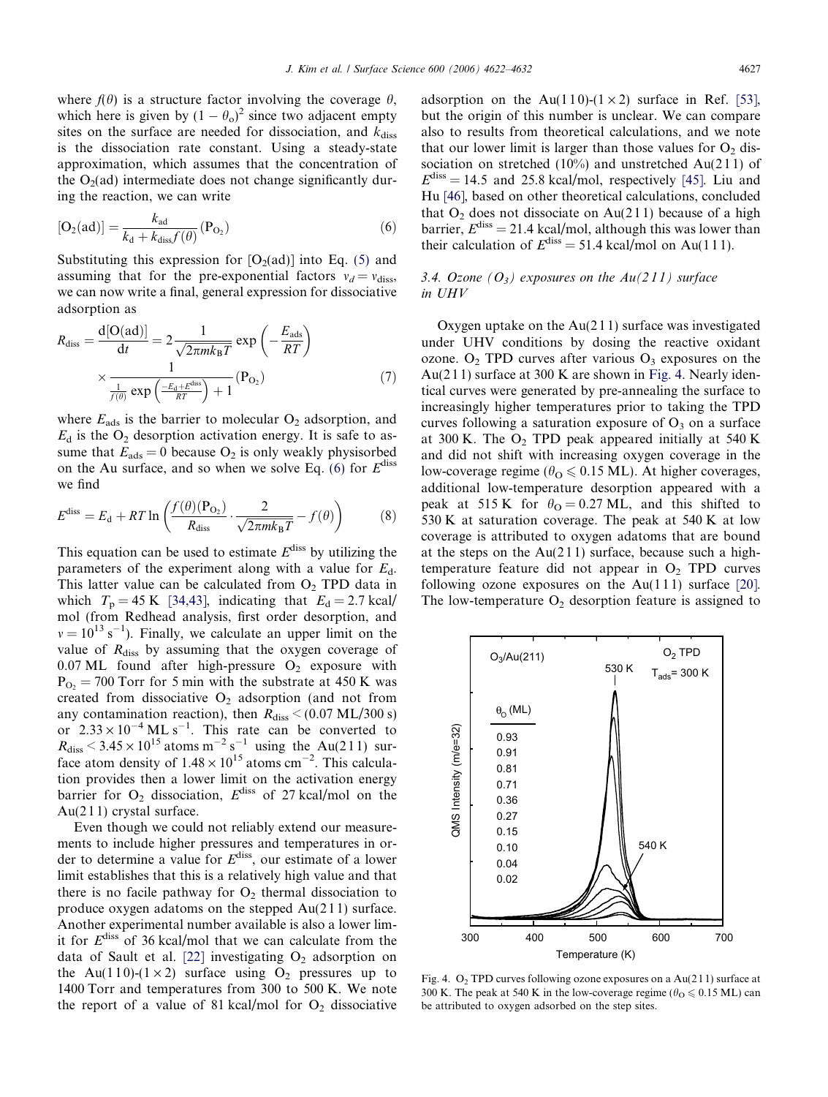<span id="page-5-0"></span>where  $f(\theta)$  is a structure factor involving the coverage  $\theta$ , which here is given by  $(1 - \theta_0)^2$  since two adjacent empty sites on the surface are needed for dissociation, and  $k_{\text{diss}}$ is the dissociation rate constant. Using a steady-state approximation, which assumes that the concentration of the  $O<sub>2</sub>(ad)$  intermediate does not change significantly during the reaction, we can write

$$
[O_2(ad)] = \frac{k_{ad}}{k_d + k_{diss}f(\theta)}(P_{O_2})
$$
\n(6)

Substituting this expression for  $[O_2(ad)]$  into Eq. [\(5\)](#page-4-0) and assuming that for the pre-exponential factors  $v_d = v_{\text{diss}}$ , we can now write a final, general expression for dissociative adsorption as

$$
R_{\text{diss}} = \frac{\text{d}[O(\text{ad})]}{\text{d}t} = 2 \frac{1}{\sqrt{2\pi m k_{\text{B}}T}} \exp\left(-\frac{E_{\text{ads}}}{RT}\right)
$$

$$
\times \frac{1}{\frac{1}{f(\theta)} \exp\left(-\frac{E_{\text{d}} + E^{\text{diss}}}{RT}\right) + 1} (P_{\text{O}_2}) \tag{7}
$$

where  $E_{ads}$  is the barrier to molecular  $O_2$  adsorption, and  $E_d$  is the  $O_2$  desorption activation energy. It is safe to assume that  $E_{ads} = 0$  because  $O_2$  is only weakly physisorbed on the Au surface, and so when we solve Eq. (6) for  $E^{\text{diss}}$ we find

$$
E^{\text{diss}} = E_{\text{d}} + RT \ln \left( \frac{f(\theta)(P_{\text{O}_2})}{R_{\text{diss}}} \cdot \frac{2}{\sqrt{2\pi mk_{\text{B}}T}} - f(\theta) \right) \tag{8}
$$

This equation can be used to estimate  $E<sup>diss</sup>$  by utilizing the parameters of the experiment along with a value for  $E_d$ . This latter value can be calculated from  $O_2$  TPD data in which  $T_p = 45$  K [\[34,43\],](#page-10-0) indicating that  $E_d = 2.7$  kcal/ mol (from Redhead analysis, first order desorption, and  $v = 10^{13} \text{ s}^{-1}$ ). Finally, we calculate an upper limit on the value of  $R<sub>diss</sub>$  by assuming that the oxygen coverage of  $0.07$  ML found after high-pressure O<sub>2</sub> exposure with  $P_{\text{O}_2}$  = 700 Torr for 5 min with the substrate at 450 K was created from dissociative  $O<sub>2</sub>$  adsorption (and not from any contamination reaction), then  $R_{\text{diss}}$  < (0.07 ML/300 s) or  $2.33 \times 10^{-4}$  ML s<sup>-1</sup>. This rate can be converted to  $R_{\text{diss}}$  < 3.45 × 10<sup>15</sup> atoms m<sup>-2</sup> s<sup>-1</sup> using the Au(211) surface atom density of  $1.48 \times 10^{15}$  atoms cm<sup>-2</sup>. This calculation provides then a lower limit on the activation energy barrier for  $O_2$  dissociation,  $E^{diss}$  of 27 kcal/mol on the  $Au(211)$  crystal surface.

Even though we could not reliably extend our measurements to include higher pressures and temperatures in order to determine a value for  $E^{\text{diss}}$ , our estimate of a lower limit establishes that this is a relatively high value and that there is no facile pathway for  $O_2$  thermal dissociation to produce oxygen adatoms on the stepped Au(2 1 1) surface. Another experimental number available is also a lower limit for  $E^{\text{diss}}$  of 36 kcal/mol that we can calculate from the data of Sault et al. [\[22\]](#page-10-0) investigating  $O_2$  adsorption on the Au(110)-(1 × 2) surface using  $O_2$  pressures up to 1400 Torr and temperatures from 300 to 500 K. We note the report of a value of 81 kcal/mol for  $O_2$  dissociative

adsorption on the Au(110)-(1 × 2) surface in Ref. [\[53\],](#page-10-0) but the origin of this number is unclear. We can compare also to results from theoretical calculations, and we note that our lower limit is larger than those values for  $O_2$  dissociation on stretched  $(10\%)$  and unstretched Au(211) of  $E<sup>diss</sup> = 14.5$  and 25.8 kcal/mol, respectively [\[45\].](#page-10-0) Liu and Hu [\[46\]](#page-10-0), based on other theoretical calculations, concluded that  $O_2$  does not dissociate on Au(211) because of a high barrier,  $E^{\text{diss}} = 21.4$  kcal/mol, although this was lower than their calculation of  $E^{diss} = 51.4$  kcal/mol on Au(111).

# 3.4. Ozone  $(O_3)$  exposures on the  $Au(211)$  surface in UHV

Oxygen uptake on the  $Au(211)$  surface was investigated under UHV conditions by dosing the reactive oxidant ozone.  $O_2$  TPD curves after various  $O_3$  exposures on the Au( $211$ ) surface at 300 K are shown in Fig. 4. Nearly identical curves were generated by pre-annealing the surface to increasingly higher temperatures prior to taking the TPD curves following a saturation exposure of  $O_3$  on a surface at 300 K. The  $O_2$  TPD peak appeared initially at 540 K and did not shift with increasing oxygen coverage in the low-coverage regime ( $\theta_{\text{O}} \leq 0.15 \text{ ML}$ ). At higher coverages, additional low-temperature desorption appeared with a peak at 515 K for  $\theta_{\text{O}} = 0.27 \text{ ML}$ , and this shifted to 530 K at saturation coverage. The peak at 540 K at low coverage is attributed to oxygen adatoms that are bound at the steps on the  $Au(211)$  surface, because such a hightemperature feature did not appear in  $O<sub>2</sub>$  TPD curves following ozone exposures on the  $Au(111)$  surface [\[20\].](#page-10-0) The low-temperature  $O_2$  desorption feature is assigned to



Fig. 4.  $O_2$  TPD curves following ozone exposures on a Au(211) surface at 300 K. The peak at 540 K in the low-coverage regime ( $\theta_{\text{O}} \le 0.15 \text{ ML}$ ) can be attributed to oxygen adsorbed on the step sites.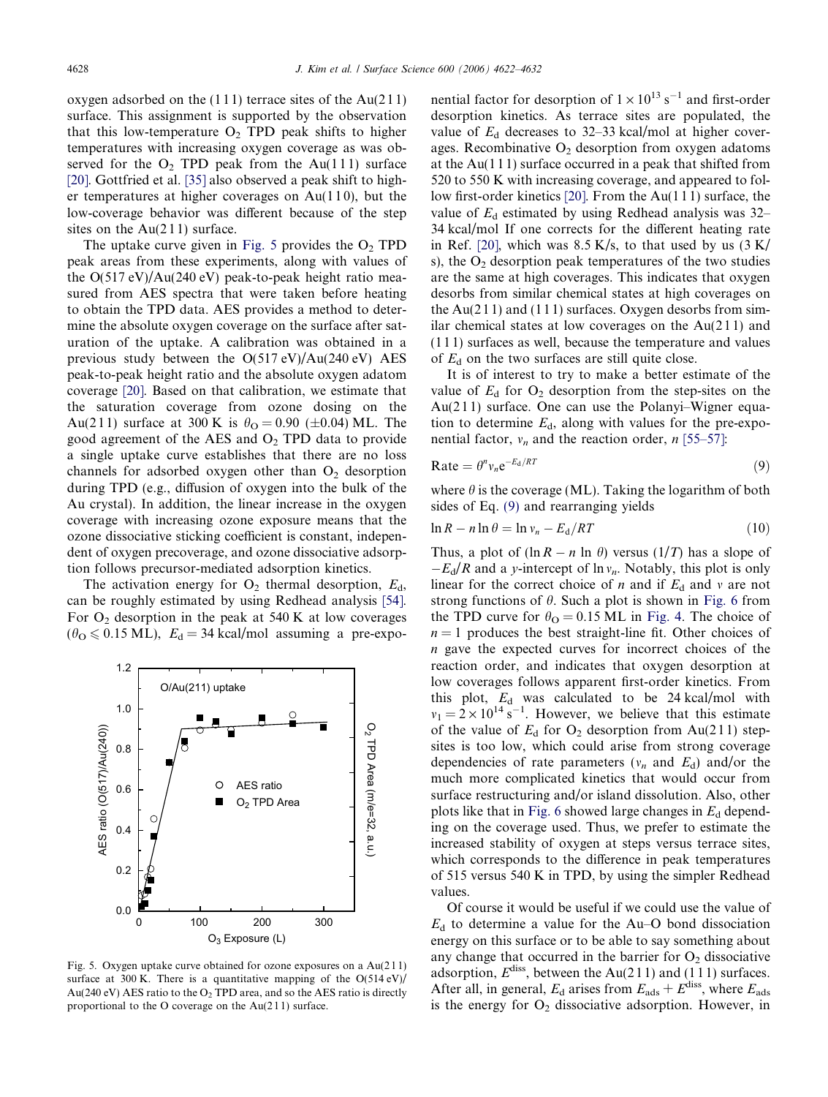oxygen adsorbed on the  $(111)$  terrace sites of the Au $(211)$ surface. This assignment is supported by the observation that this low-temperature  $O_2$  TPD peak shifts to higher temperatures with increasing oxygen coverage as was observed for the  $O_2$  TPD peak from the Au(111) surface [\[20\]](#page-10-0). Gottfried et al. [\[35\]](#page-10-0) also observed a peak shift to higher temperatures at higher coverages on  $Au(110)$ , but the low-coverage behavior was different because of the step sites on the  $Au(211)$  surface.

The uptake curve given in Fig. 5 provides the  $O<sub>2</sub>$  TPD peak areas from these experiments, along with values of the  $O(517 \text{ eV})/Au(240 \text{ eV})$  peak-to-peak height ratio measured from AES spectra that were taken before heating to obtain the TPD data. AES provides a method to determine the absolute oxygen coverage on the surface after saturation of the uptake. A calibration was obtained in a previous study between the O(517 eV)/Au(240 eV) AES peak-to-peak height ratio and the absolute oxygen adatom coverage [\[20\]](#page-10-0). Based on that calibration, we estimate that the saturation coverage from ozone dosing on the Au(211) surface at 300 K is  $\theta_{\text{O}} = 0.90$  ( $\pm 0.04$ ) ML. The good agreement of the AES and  $O<sub>2</sub>$  TPD data to provide a single uptake curve establishes that there are no loss channels for adsorbed oxygen other than  $O<sub>2</sub>$  desorption during TPD (e.g., diffusion of oxygen into the bulk of the Au crystal). In addition, the linear increase in the oxygen coverage with increasing ozone exposure means that the ozone dissociative sticking coefficient is constant, independent of oxygen precoverage, and ozone dissociative adsorption follows precursor-mediated adsorption kinetics.

The activation energy for  $O_2$  thermal desorption,  $E_d$ , can be roughly estimated by using Redhead analysis [\[54\]](#page-10-0). For  $O_2$  desorption in the peak at 540 K at low coverages  $(\theta_{\text{O}} \leq 0.15 \text{ ML})$ ,  $E_{\text{d}} = 34 \text{ kcal/mol}$  assuming a pre-expo-



Fig. 5. Oxygen uptake curve obtained for ozone exposures on a Au(2 1 1) surface at 300 K. There is a quantitative mapping of the  $O(514 \text{ eV})/$ Au(240 eV) AES ratio to the  $O_2$  TPD area, and so the AES ratio is directly proportional to the O coverage on the Au(2 1 1) surface.

nential factor for desorption of  $1 \times 10^{13}$  s<sup>-1</sup> and first-order desorption kinetics. As terrace sites are populated, the value of  $E_d$  decreases to 32–33 kcal/mol at higher coverages. Recombinative  $O_2$  desorption from oxygen adatoms at the Au $(111)$  surface occurred in a peak that shifted from 520 to 550 K with increasing coverage, and appeared to follow first-order kinetics [\[20\].](#page-10-0) From the Au(1 1 1) surface, the value of  $E_d$  estimated by using Redhead analysis was 32– 34 kcal/mol If one corrects for the different heating rate in Ref. [\[20\]](#page-10-0), which was  $8.5$  K/s, to that used by us  $(3 \text{ K})$ s), the  $O<sub>2</sub>$  desorption peak temperatures of the two studies are the same at high coverages. This indicates that oxygen desorbs from similar chemical states at high coverages on the Au( $211$ ) and (111) surfaces. Oxygen desorbs from similar chemical states at low coverages on the  $Au(211)$  and (1 1 1) surfaces as well, because the temperature and values of  $E_d$  on the two surfaces are still quite close.

It is of interest to try to make a better estimate of the value of  $E_d$  for  $O_2$  desorption from the step-sites on the Au(211) surface. One can use the Polanyi–Wigner equation to determine  $E<sub>d</sub>$ , along with values for the pre-exponential factor,  $v_n$  and the reaction order, n [\[55–57\]:](#page-10-0)

$$
Rate = \theta^n v_n e^{-E_d/RT}
$$
 (9)

where  $\theta$  is the coverage (ML). Taking the logarithm of both sides of Eq. (9) and rearranging yields

$$
\ln R - n \ln \theta = \ln v_n - E_d / RT \tag{10}
$$

Thus, a plot of  $(\ln R - n \ln \theta)$  versus  $(1/T)$  has a slope of  $-E_d/R$  and a y-intercept of  $\ln v_n$ . Notably, this plot is only linear for the correct choice of *n* and if  $E_d$  and *v* are not strong functions of  $\theta$ . Such a plot is shown in [Fig. 6](#page-7-0) from the TPD curve for  $\theta_{\text{O}} = 0.15 \text{ ML}$  in [Fig. 4](#page-5-0). The choice of  $n = 1$  produces the best straight-line fit. Other choices of n gave the expected curves for incorrect choices of the reaction order, and indicates that oxygen desorption at low coverages follows apparent first-order kinetics. From this plot,  $E_d$  was calculated to be 24 kcal/mol with  $v_1 = 2 \times 10^{14} \text{ s}^{-1}$ . However, we believe that this estimate of the value of  $E_d$  for  $O_2$  desorption from Au(211) stepsites is too low, which could arise from strong coverage dependencies of rate parameters ( $v_n$  and  $E_d$ ) and/or the much more complicated kinetics that would occur from surface restructuring and/or island dissolution. Also, other plots like that in [Fig. 6](#page-7-0) showed large changes in  $E_d$  depending on the coverage used. Thus, we prefer to estimate the increased stability of oxygen at steps versus terrace sites, which corresponds to the difference in peak temperatures of 515 versus 540 K in TPD, by using the simpler Redhead values.

Of course it would be useful if we could use the value of  $E_d$  to determine a value for the Au–O bond dissociation energy on this surface or to be able to say something about any change that occurred in the barrier for  $O<sub>2</sub>$  dissociative adsorption,  $E^{\text{diss}}$ , between the Au(211) and (111) surfaces. After all, in general,  $E_d$  arises from  $E_{ads} + E^{diss}$ , where  $E_{ads}$ is the energy for  $O_2$  dissociative adsorption. However, in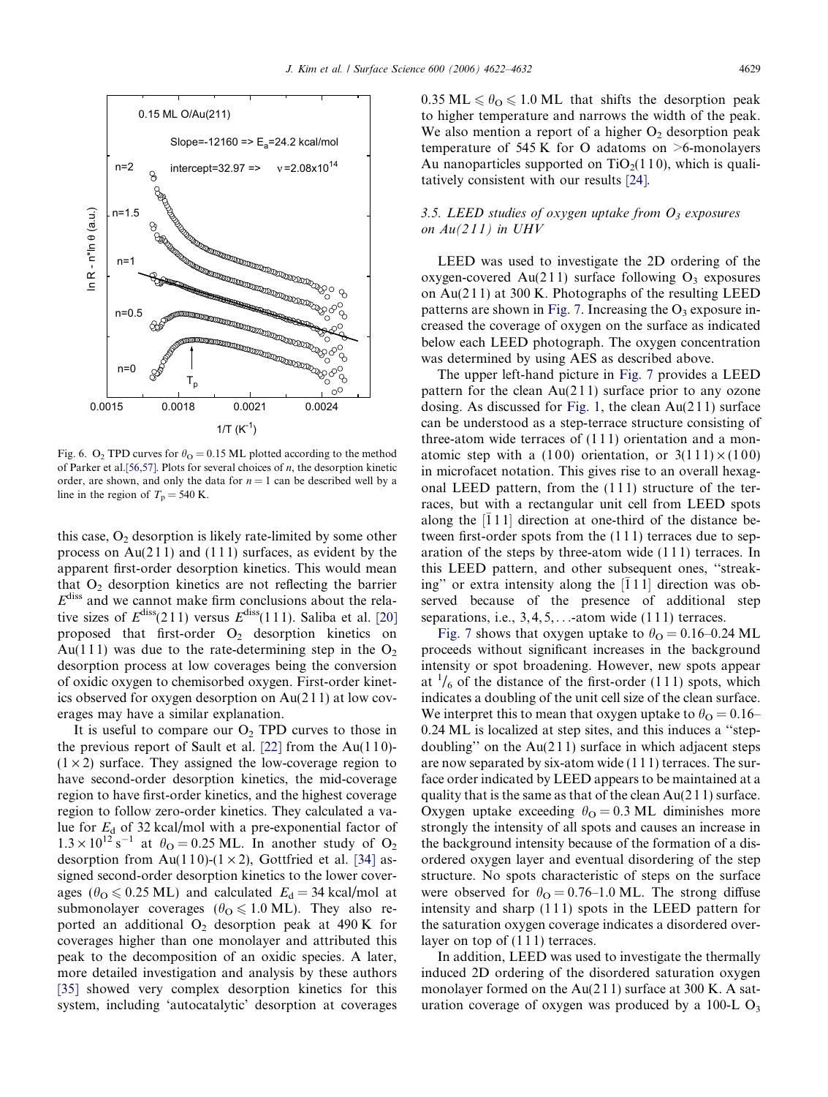<span id="page-7-0"></span>

Fig. 6. O<sub>2</sub> TPD curves for  $\theta_{\text{O}} = 0.15$  ML plotted according to the method of Parker et al. [\[56,57\]](#page-10-0). Plots for several choices of  $n$ , the desorption kinetic order, are shown, and only the data for  $n = 1$  can be described well by a line in the region of  $T_p = 540$  K.

this case,  $O_2$  desorption is likely rate-limited by some other process on  $Au(211)$  and  $(111)$  surfaces, as evident by the apparent first-order desorption kinetics. This would mean that  $O_2$  desorption kinetics are not reflecting the barrier  $E<sup>diss</sup>$  and we cannot make firm conclusions about the relative sizes of  $E^{\text{diss}}(211)$  versus  $E^{\text{diss}}(111)$ . Saliba et al. [\[20\]](#page-10-0) proposed that first-order  $O_2$  desorption kinetics on Au(111) was due to the rate-determining step in the  $O_2$ desorption process at low coverages being the conversion of oxidic oxygen to chemisorbed oxygen. First-order kinetics observed for oxygen desorption on Au(2 1 1) at low coverages may have a similar explanation.

It is useful to compare our  $O<sub>2</sub>$  TPD curves to those in the previous report of Sault et al.  $[22]$  from the Au(110)- $(1 \times 2)$  surface. They assigned the low-coverage region to have second-order desorption kinetics, the mid-coverage region to have first-order kinetics, and the highest coverage region to follow zero-order kinetics. They calculated a value for  $E_d$  of 32 kcal/mol with a pre-exponential factor of  $1.3 \times 10^{12}$  s<sup>-1</sup> at  $\theta_{\text{O}} = 0.25$  ML. In another study of O<sub>2</sub> desorption from Au(110)-(1  $\times$  2), Gottfried et al. [\[34\]](#page-10-0) assigned second-order desorption kinetics to the lower coverages ( $\theta_{\text{O}} \le 0.25 \text{ ML}$ ) and calculated  $E_{\text{d}} = 34 \text{ kcal/mol}$  at submonolayer coverages ( $\theta_{\text{O}} \leq 1.0 \text{ ML}$ ). They also reported an additional  $O<sub>2</sub>$  desorption peak at 490 K for coverages higher than one monolayer and attributed this peak to the decomposition of an oxidic species. A later, more detailed investigation and analysis by these authors [\[35\]](#page-10-0) showed very complex desorption kinetics for this system, including 'autocatalytic' desorption at coverages  $0.35 \text{ ML} \le \theta_{\text{O}} \le 1.0 \text{ ML}$  that shifts the desorption peak to higher temperature and narrows the width of the peak. We also mention a report of a higher  $O<sub>2</sub>$  desorption peak temperature of 545 K for O adatoms on  $\geq$ 6-monolayers Au nanoparticles supported on  $TiO<sub>2</sub>(110)$ , which is qualitatively consistent with our results [\[24\]](#page-10-0).

# 3.5. LEED studies of oxygen uptake from  $O_3$  exposures on  $Au(211)$  in UHV

LEED was used to investigate the 2D ordering of the oxygen-covered Au(211) surface following  $O_3$  exposures on Au(2 1 1) at 300 K. Photographs of the resulting LEED patterns are shown in [Fig. 7.](#page-8-0) Increasing the  $O_3$  exposure increased the coverage of oxygen on the surface as indicated below each LEED photograph. The oxygen concentration was determined by using AES as described above.

The upper left-hand picture in [Fig. 7](#page-8-0) provides a LEED pattern for the clean  $Au(211)$  surface prior to any ozone dosing. As discussed for [Fig. 1](#page-3-0), the clean  $Au(211)$  surface can be understood as a step-terrace structure consisting of three-atom wide terraces of  $(111)$  orientation and a monatomic step with a (100) orientation, or  $3(111) \times (100)$ in microfacet notation. This gives rise to an overall hexagonal LEED pattern, from the  $(111)$  structure of the terraces, but with a rectangular unit cell from LEED spots along the  $[\bar{1}11]$  direction at one-third of the distance between first-order spots from the (1 1 1) terraces due to separation of the steps by three-atom wide (1 1 1) terraces. In this LEED pattern, and other subsequent ones, ''streaking" or extra intensity along the  $\left[ \overline{1} \, 1 \, \overline{1} \right]$  direction was observed because of the presence of additional step separations, i.e.,  $3, 4, 5, \ldots$ -atom wide (111) terraces.

[Fig. 7](#page-8-0) shows that oxygen uptake to  $\theta_{\rm O} = 0.16$ –0.24 ML proceeds without significant increases in the background intensity or spot broadening. However, new spots appear at  $\frac{1}{6}$  of the distance of the first-order (111) spots, which indicates a doubling of the unit cell size of the clean surface. We interpret this to mean that oxygen uptake to  $\theta_{\rm O} = 0.16$ – 0.24 ML is localized at step sites, and this induces a ''stepdoubling" on the  $Au(211)$  surface in which adjacent steps are now separated by six-atom wide (1 1 1) terraces. The surface order indicated by LEED appears to be maintained at a quality that is the same as that of the clean Au(2 1 1) surface. Oxygen uptake exceeding  $\theta_{\rm O} = 0.3$  ML diminishes more strongly the intensity of all spots and causes an increase in the background intensity because of the formation of a disordered oxygen layer and eventual disordering of the step structure. No spots characteristic of steps on the surface were observed for  $\theta_{\text{O}} = 0.76$ –1.0 ML. The strong diffuse intensity and sharp  $(111)$  spots in the LEED pattern for the saturation oxygen coverage indicates a disordered overlayer on top of  $(111)$  terraces.

In addition, LEED was used to investigate the thermally induced 2D ordering of the disordered saturation oxygen monolayer formed on the  $Au(211)$  surface at 300 K. A saturation coverage of oxygen was produced by a 100-L  $O_3$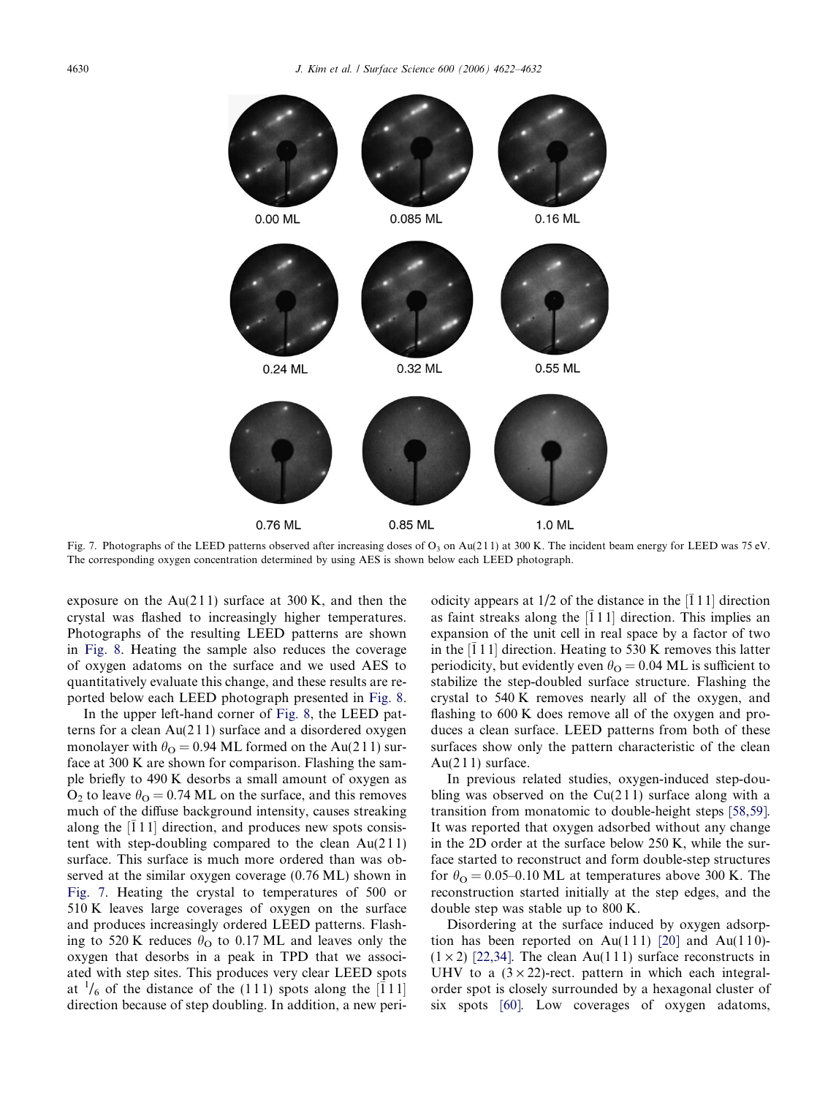<span id="page-8-0"></span>

Fig. 7. Photographs of the LEED patterns observed after increasing doses of  $O_3$  on Au(211) at 300 K. The incident beam energy for LEED was 75 eV. The corresponding oxygen concentration determined by using AES is shown below each LEED photograph.

exposure on the  $Au(211)$  surface at 300 K, and then the crystal was flashed to increasingly higher temperatures. Photographs of the resulting LEED patterns are shown in [Fig. 8](#page-9-0). Heating the sample also reduces the coverage of oxygen adatoms on the surface and we used AES to quantitatively evaluate this change, and these results are reported below each LEED photograph presented in [Fig. 8](#page-9-0).

In the upper left-hand corner of [Fig. 8](#page-9-0), the LEED patterns for a clean  $Au(211)$  surface and a disordered oxygen monolayer with  $\theta_{\rm O} = 0.94$  ML formed on the Au(211) surface at 300 K are shown for comparison. Flashing the sample briefly to 490 K desorbs a small amount of oxygen as  $O_2$  to leave  $\theta_{\Omega} = 0.74$  ML on the surface, and this removes much of the diffuse background intensity, causes streaking along the  $\left[ \overline{1} 1 1 \right]$  direction, and produces new spots consistent with step-doubling compared to the clean  $Au(211)$ surface. This surface is much more ordered than was observed at the similar oxygen coverage (0.76 ML) shown in Fig. 7. Heating the crystal to temperatures of 500 or 510 K leaves large coverages of oxygen on the surface and produces increasingly ordered LEED patterns. Flashing to 520 K reduces  $\theta_{\rm O}$  to 0.17 ML and leaves only the oxygen that desorbs in a peak in TPD that we associated with step sites. This produces very clear LEED spots at  $\frac{1}{6}$  of the distance of the (111) spots along the [111] direction because of step doubling. In addition, a new periodicity appears at  $1/2$  of the distance in the  $\left[ \overline{1} 1 1 \right]$  direction as faint streaks along the  $[\bar{1}11]$  direction. This implies an expansion of the unit cell in real space by a factor of two in the  $\left[ \overline{1} 1 1 \right]$  direction. Heating to 530 K removes this latter periodicity, but evidently even  $\theta_{\rm O} = 0.04$  ML is sufficient to stabilize the step-doubled surface structure. Flashing the crystal to 540 K removes nearly all of the oxygen, and flashing to 600 K does remove all of the oxygen and produces a clean surface. LEED patterns from both of these surfaces show only the pattern characteristic of the clean Au( $211$ ) surface.

In previous related studies, oxygen-induced step-doubling was observed on the  $Cu(211)$  surface along with a transition from monatomic to double-height steps [\[58,59\]](#page-10-0). It was reported that oxygen adsorbed without any change in the 2D order at the surface below 250 K, while the surface started to reconstruct and form double-step structures for  $\theta_{\rm O} = 0.05$ –0.10 ML at temperatures above 300 K. The reconstruction started initially at the step edges, and the double step was stable up to 800 K.

Disordering at the surface induced by oxygen adsorp-tion has been reported on Au(111) [\[20\]](#page-10-0) and Au(110)- $(1 \times 2)$  [\[22,34\].](#page-10-0) The clean Au(111) surface reconstructs in UHV to a  $(3 \times 22)$ -rect. pattern in which each integralorder spot is closely surrounded by a hexagonal cluster of six spots [\[60\].](#page-10-0) Low coverages of oxygen adatoms,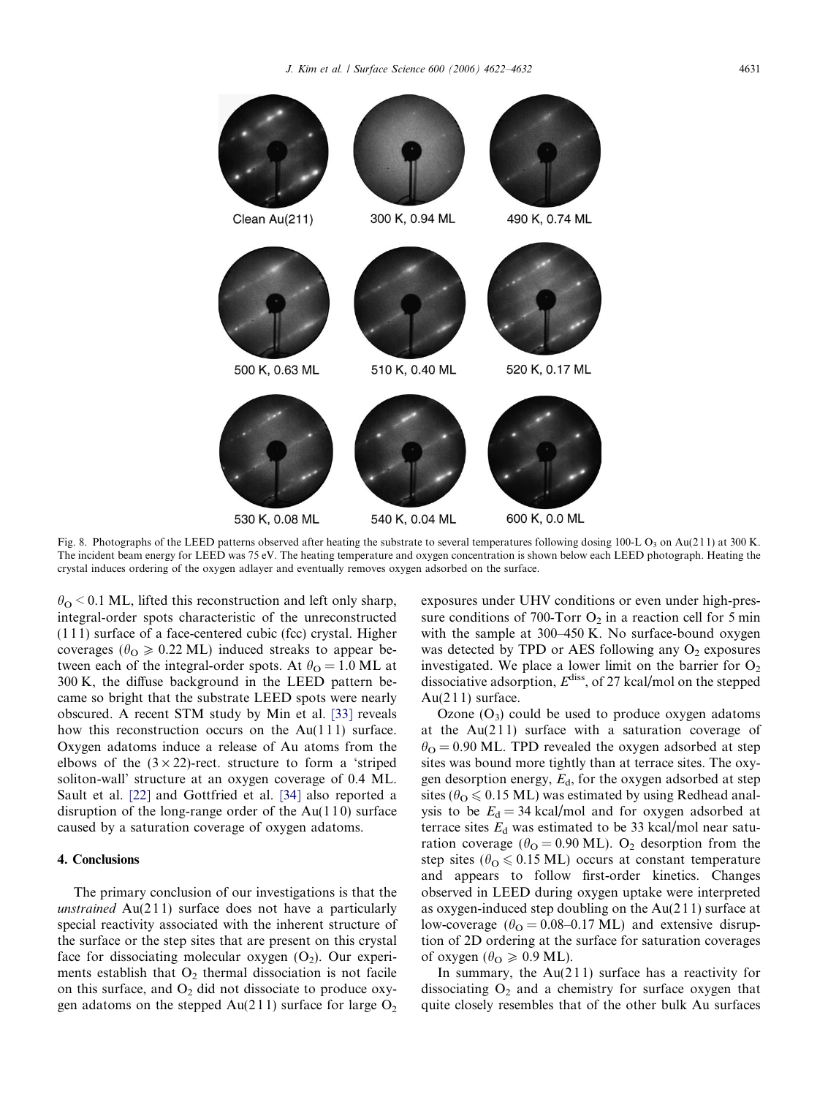

<span id="page-9-0"></span>

Fig. 8. Photographs of the LEED patterns observed after heating the substrate to several temperatures following dosing 100-L O<sub>3</sub> on Au(211) at 300 K. The incident beam energy for LEED was 75 eV. The heating temperature and oxygen concentration is shown below each LEED photograph. Heating the crystal induces ordering of the oxygen adlayer and eventually removes oxygen adsorbed on the surface.

 $\theta_{\rm O}$  < 0.1 ML, lifted this reconstruction and left only sharp, integral-order spots characteristic of the unreconstructed (1 1 1) surface of a face-centered cubic (fcc) crystal. Higher coverages ( $\theta_{\text{O}} \ge 0.22 \text{ ML}$ ) induced streaks to appear between each of the integral-order spots. At  $\theta_{\rm O} = 1.0$  ML at 300 K, the diffuse background in the LEED pattern became so bright that the substrate LEED spots were nearly obscured. A recent STM study by Min et al. [\[33\]](#page-10-0) reveals how this reconstruction occurs on the  $Au(111)$  surface. Oxygen adatoms induce a release of Au atoms from the elbows of the  $(3 \times 22)$ -rect. structure to form a 'striped soliton-wall' structure at an oxygen coverage of 0.4 ML. Sault et al. [\[22\]](#page-10-0) and Gottfried et al. [\[34\]](#page-10-0) also reported a disruption of the long-range order of the  $Au(110)$  surface caused by a saturation coverage of oxygen adatoms.

## 4. Conclusions

The primary conclusion of our investigations is that the unstrained  $Au(211)$  surface does not have a particularly special reactivity associated with the inherent structure of the surface or the step sites that are present on this crystal face for dissociating molecular oxygen  $(O_2)$ . Our experiments establish that  $O_2$  thermal dissociation is not facile on this surface, and  $O<sub>2</sub>$  did not dissociate to produce oxygen adatoms on the stepped Au(211) surface for large  $O<sub>2</sub>$ 

exposures under UHV conditions or even under high-pressure conditions of 700-Torr  $O_2$  in a reaction cell for 5 min with the sample at 300–450 K. No surface-bound oxygen was detected by TPD or AES following any  $O_2$  exposures investigated. We place a lower limit on the barrier for  $O_2$ dissociative adsorption,  $E^{diss}$ , of 27 kcal/mol on the stepped  $Au(211)$  surface.

Ozone  $(O_3)$  could be used to produce oxygen adatoms at the  $Au(211)$  surface with a saturation coverage of  $\theta_{\rm O}$  = 0.90 ML. TPD revealed the oxygen adsorbed at step sites was bound more tightly than at terrace sites. The oxygen desorption energy,  $E_d$ , for the oxygen adsorbed at step sites ( $\theta_{\text{O}} \leq 0.15 \text{ ML}$ ) was estimated by using Redhead analysis to be  $E_d = 34$  kcal/mol and for oxygen adsorbed at terrace sites  $E_d$  was estimated to be 33 kcal/mol near saturation coverage ( $\theta_{\text{O}} = 0.90 \text{ ML}$ ). O<sub>2</sub> desorption from the step sites ( $\theta_{\text{O}} \leq 0.15 \text{ ML}$ ) occurs at constant temperature and appears to follow first-order kinetics. Changes observed in LEED during oxygen uptake were interpreted as oxygen-induced step doubling on the Au(2 1 1) surface at low-coverage ( $\theta_{\text{O}} = 0.08 - 0.17 \text{ ML}$ ) and extensive disruption of 2D ordering at the surface for saturation coverages of oxygen ( $\theta_{\rm O} \geqslant 0.9$  ML).

In summary, the  $Au(211)$  surface has a reactivity for dissociating  $O<sub>2</sub>$  and a chemistry for surface oxygen that quite closely resembles that of the other bulk Au surfaces